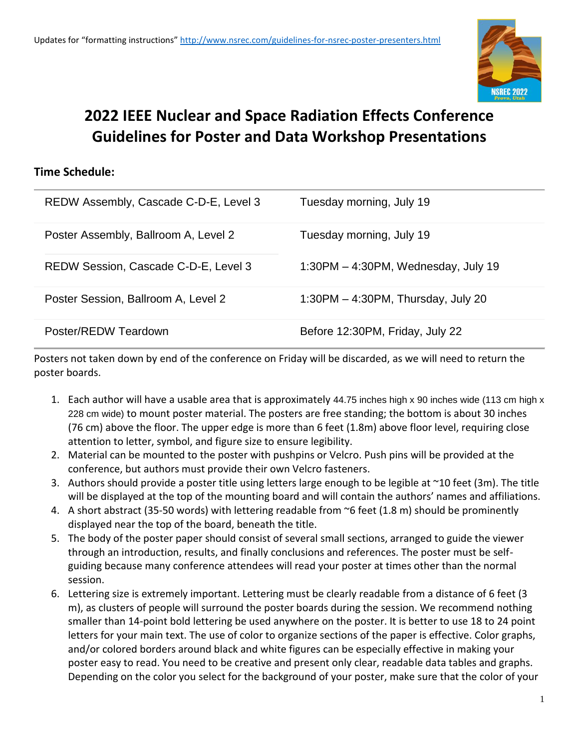

## **2022 IEEE Nuclear and Space Radiation Effects Conference Guidelines for Poster and Data Workshop Presentations**

#### **Time Schedule:**

| REDW Assembly, Cascade C-D-E, Level 3 | Tuesday morning, July 19               |
|---------------------------------------|----------------------------------------|
| Poster Assembly, Ballroom A, Level 2  | Tuesday morning, July 19               |
| REDW Session, Cascade C-D-E, Level 3  | $1:30PM - 4:30PM$ , Wednesday, July 19 |
| Poster Session, Ballroom A, Level 2   | 1:30PM $-$ 4:30PM, Thursday, July 20   |
| Poster/REDW Teardown                  | Before 12:30PM, Friday, July 22        |

Posters not taken down by end of the conference on Friday will be discarded, as we will need to return the poster boards.

- 1. Each author will have a usable area that is approximately 44.75 inches high x 90 inches wide (113 cm high x 228 cm wide) to mount poster material. The posters are free standing; the bottom is about 30 inches (76 cm) above the floor. The upper edge is more than 6 feet (1.8m) above floor level, requiring close attention to letter, symbol, and figure size to ensure legibility.
- 2. Material can be mounted to the poster with pushpins or Velcro. Push pins will be provided at the conference, but authors must provide their own Velcro fasteners.
- 3. Authors should provide a poster title using letters large enough to be legible at ~10 feet (3m). The title will be displayed at the top of the mounting board and will contain the authors' names and affiliations.
- 4. A short abstract (35-50 words) with lettering readable from ~6 feet (1.8 m) should be prominently displayed near the top of the board, beneath the title.
- 5. The body of the poster paper should consist of several small sections, arranged to guide the viewer through an introduction, results, and finally conclusions and references. The poster must be selfguiding because many conference attendees will read your poster at times other than the normal session.
- 6. Lettering size is extremely important. Lettering must be clearly readable from a distance of 6 feet (3 m), as clusters of people will surround the poster boards during the session. We recommend nothing smaller than 14-point bold lettering be used anywhere on the poster. It is better to use 18 to 24 point letters for your main text. The use of color to organize sections of the paper is effective. Color graphs, and/or colored borders around black and white figures can be especially effective in making your poster easy to read. You need to be creative and present only clear, readable data tables and graphs. Depending on the color you select for the background of your poster, make sure that the color of your